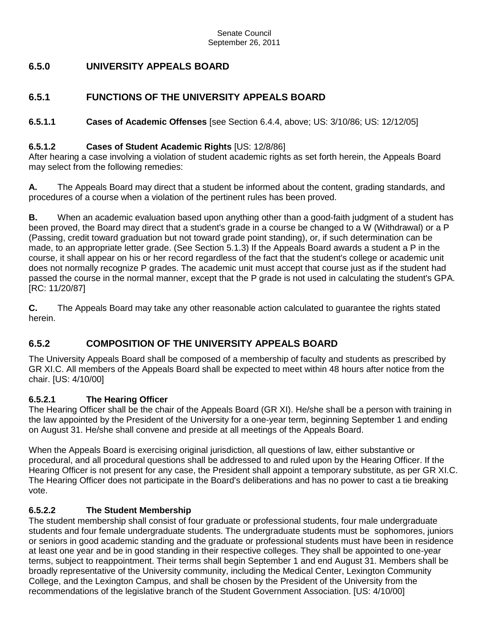# **6.5.0 UNIVERSITY APPEALS BOARD**

## **6.5.1 FUNCTIONS OF THE UNIVERSITY APPEALS BOARD**

**6.5.1.1 Cases of Academic Offenses** [see Section 6.4.4, above; US: 3/10/86; US: 12/12/05]

#### **6.5.1.2 Cases of Student Academic Rights** [US: 12/8/86]

After hearing a case involving a violation of student academic rights as set forth herein, the Appeals Board may select from the following remedies:

**A.** The Appeals Board may direct that a student be informed about the content, grading standards, and procedures of a course when a violation of the pertinent rules has been proved.

**B.** When an academic evaluation based upon anything other than a good-faith judgment of a student has been proved, the Board may direct that a student's grade in a course be changed to a W (Withdrawal) or a P (Passing, credit toward graduation but not toward grade point standing), or, if such determination can be made, to an appropriate letter grade. (See Section 5.1.3) If the Appeals Board awards a student a P in the course, it shall appear on his or her record regardless of the fact that the student's college or academic unit does not normally recognize P grades. The academic unit must accept that course just as if the student had passed the course in the normal manner, except that the P grade is not used in calculating the student's GPA. [RC: 11/20/87]

**C.** The Appeals Board may take any other reasonable action calculated to guarantee the rights stated herein.

# **6.5.2 COMPOSITION OF THE UNIVERSITY APPEALS BOARD**

The University Appeals Board shall be composed of a membership of faculty and students as prescribed by GR XI.C. All members of the Appeals Board shall be expected to meet within 48 hours after notice from the chair. [US: 4/10/00]

### **6.5.2.1 The Hearing Officer**

The Hearing Officer shall be the chair of the Appeals Board (GR XI). He/she shall be a person with training in the law appointed by the President of the University for a one-year term, beginning September 1 and ending on August 31. He/she shall convene and preside at all meetings of the Appeals Board.

When the Appeals Board is exercising original jurisdiction, all questions of law, either substantive or procedural, and all procedural questions shall be addressed to and ruled upon by the Hearing Officer. If the Hearing Officer is not present for any case, the President shall appoint a temporary substitute, as per GR XI.C. The Hearing Officer does not participate in the Board's deliberations and has no power to cast a tie breaking vote.

### **6.5.2.2 The Student Membership**

The student membership shall consist of four graduate or professional students, four male undergraduate students and four female undergraduate students. The undergraduate students must be sophomores, juniors or seniors in good academic standing and the graduate or professional students must have been in residence at least one year and be in good standing in their respective colleges. They shall be appointed to one-year terms, subject to reappointment. Their terms shall begin September 1 and end August 31. Members shall be broadly representative of the University community, including the Medical Center, Lexington Community College, and the Lexington Campus, and shall be chosen by the President of the University from the recommendations of the legislative branch of the Student Government Association. [US: 4/10/00]